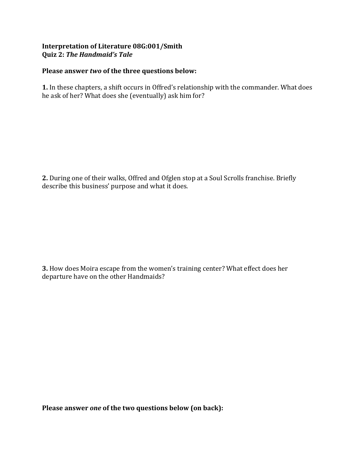## Interpretation of Literature 08G:001/Smith **Quiz 2: The Handmaid's Tale**

## Please answer *two* of the three questions below:

1. In these chapters, a shift occurs in Offred's relationship with the commander. What does he ask of her? What does she (eventually) ask him for?

**2.** During one of their walks, Offred and Ofglen stop at a Soul Scrolls franchise. Briefly describe this business' purpose and what it does.

**3.** How does Moira escape from the women's training center? What effect does her departure have on the other Handmaids?

Please answer one of the two questions below (on back):